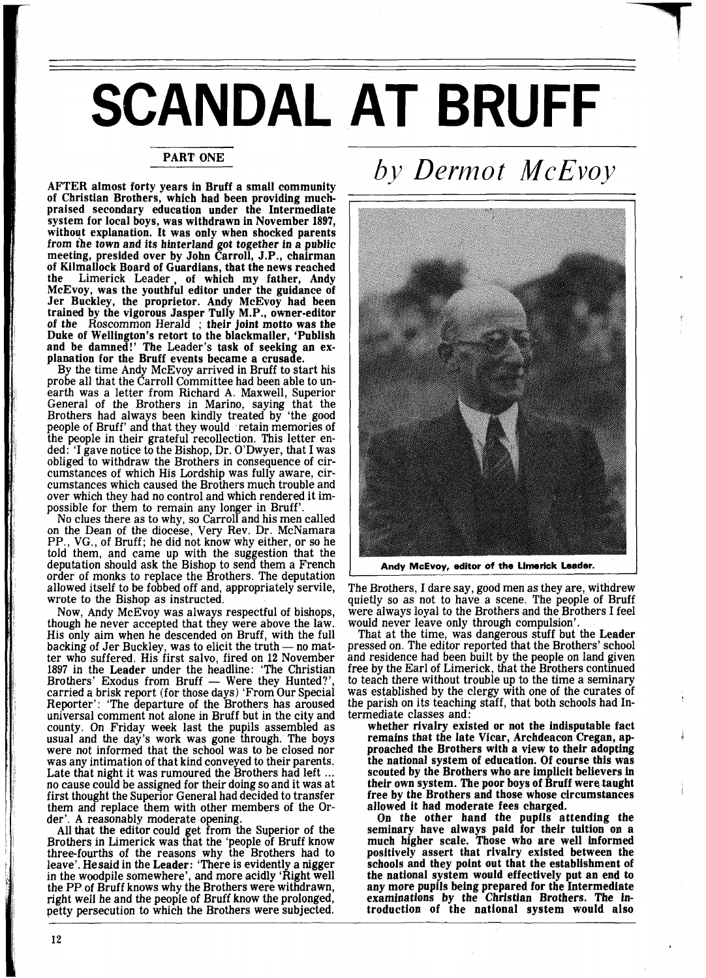## **SCANDAL AT BRUFF**

## PART ONE

AFTER almost forty years in Bruff a small community of Christian Brothers, which had been providing muchpraised secondary education under the Intermediate system for local boys, was withdrawn in November 1897, without explanation. It was only when shocked parents from the town and its hinterland got together in a public meeting, presided over by John Carroll, J.P., chairman of Kilmallock Board of Guardians, that the news reached the Limerick Leader, of which my father, Andy McEvoy, was the youthful editor under the guidance of Jer Buckley, the proprietor. Andy McEvoy had been trained by the vigorous Jasper Tully M.P., owner-editor of the Roscommon Herald ; their joint motto was the Duke of Wellington's retort to the blackmailer, 'Publish and be damned!' The Leader's task of seeking an explanation for the Bruff events became a crusade.

By the time Andy McEvoy arrived in Bruff to start his probe all that the Carroll Committee had been able to unearth was a letter from Richard A. Maxwell, Superior General of the Brothers in Marino, saying that the Brothers had always been kindly treated by 'the good people of Bruff' and that they would retain memories of people of Bruff' and that they would retain memories of the people in their grateful recollection. This letter ended: 'I gave notice to the Bishop, Dr. O'Dwyer, that I was obliged to withdraw the Brothers in consequence of circumstances of which His Lordship was fully aware, circumstances which caused the Brothers much trouble and over which they had no control and which rendered it impossible for them to remain any longer in Bruff'.

No clues there as to why, so Carroll and his men called on the Dean of the diocese, Very Rev. Dr. McNamara PP., VG., of Bruff; he did not know why either, or so he told them, and came up with the suggestion that the deputation should ask the Bishop to send them a French order of monks to replace the Brothers. The deputation allowed itself to be fobbed off and, appropriately servile, allowed itself to be fobbed off and, appropriately servile,<br>wrote to the Bishop as instructed.<br>Now, Andy McEvoy was always respectful of bishops,

though he never accepted that they were above the law. His only aim when he descended on Bruff, with the full though he never accepted that they were above the law.<br>
His only aim when he descended on Bruff, with the full<br>
backing of Jer Buckley, was to elicit the truth — no mat-<br>
ter who suffered. His first salvo, fired on 12 Nove 1897 in the Leader under the headline: 'The Christian Brothers' Exodus from Bruff — Were they Hunted?', carried a brisk report (for those days) 'From Our Special Reporter': 'The departure of the Brothers has aroused universal comment not alone in Bruff but in the city and county. On Friday week last the pupils assembled as usual and the day's work was gone through. The boys were not informed that the school was to be closed nor was any intimation of that kind conveyed to their parents.<br>Late that night it was rumoured the Brothers had left ... no cause could be assigned for their doing so and it was at first thought the Superior General had decided to transfer them and replace them with other members of the Or-

der'. A reasonably moderate opening. All that the editor could et from the Superior of the All that the editor could get from the superformor of the Brothers in Limerick was that the 'people of Bruff know three-fourths of the reasons why the Brothers had to leave'. He said in the Leader: 'There is evidently a nigger<br>in the woodpile somewhere', and more acidly 'Right well the PP of Bruff knows why the Brothers were withdrawn, right well he and the people of Bruff know the prolonged, petty persecution to which the Brothers were subjected.

## *by Dermot McEvoy*



**Andy McEvoy, editor of the Limerick Leader.** 

The Brothers, I dare say, good men as they are, withdrew quietly so as not to have a scene. The people of Bruff were always loyal to the Brothers and the Brothers I feel would never leave only through compulsion'.

That at the time, was dangerous stuff but the Leader pressed on. The editor reported that the Brothers' school free by the Earl of Limerick, that the Brothers continued to teach there without trouble up to the time a seminary to teach there without trouble up to the time a seminary was established by the clergy with one of the curates of the parish on its teaching staff, that both schools had Intermediate classes and :

whether rivalry existed or not the indisputable fact<br>remains that the late Vicar, Archdeacon Cregan, approached the Brothers with a view to their adopting<br>the national system of education. Of course this was scouted by the Brothers who are implicit believers in their own system. The poor boys of Bruff were taught free by the Brothers and those whose circumstances allowed it had moderate fees charged.

allowed it had moderate fees charged. On the other hand the pupils attending the seminary have always paid for their tuition on a much higher scale. Those who are well informed positively assert that rivalry existed between the schools and they point out that the establishment of the national system would effectively put an end to any more pupils being prepared for the Intermediate examinations by the Christian Brothers. The introduction of the national system would also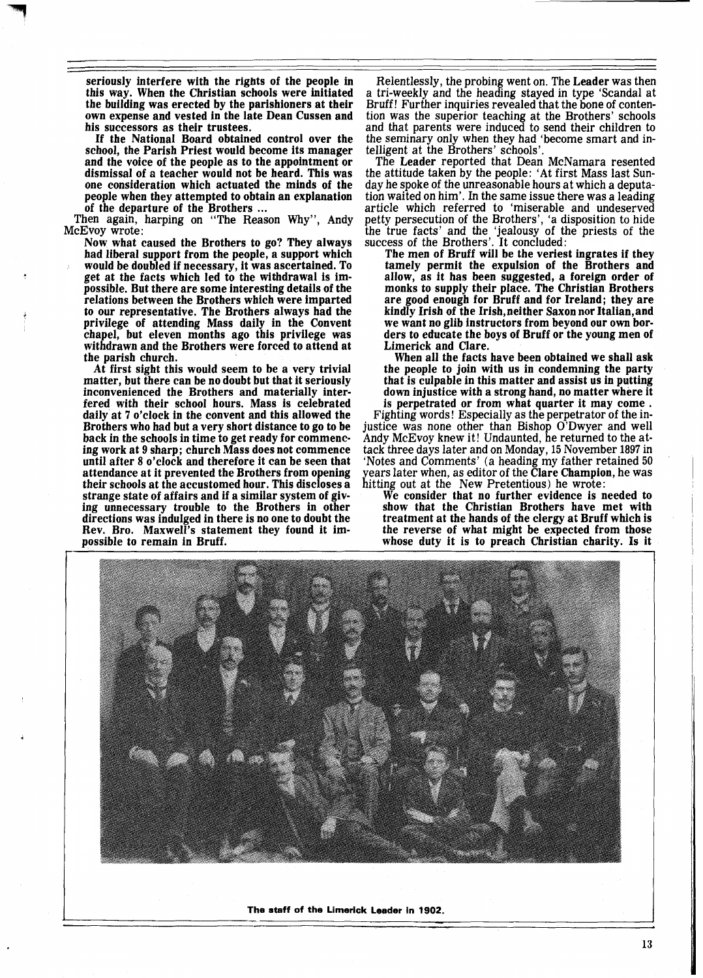seriously interfere with the rights of the people in this way. When the Christian schools were initiated the building was erected by the parishioners at their own expense and vested in the late Dean Cussen and his successors as their trustees.

If the National Board obtained control over the school, the Parish Priest would become its manager and the voice of the people as to the appointment or dismissal of a teacher would not be heard. This was one consideration which actuated the minds of the people when they attempted to obtain an explanation

Then again, harping on "The Reason Why", Andy McEvoy wrote :

Now what caused the Brothers to go? They always had liberal support from the people, a support which would be doubled if necessary, it was ascertained. To get at the facts which led to the withdrawal is impossible. But there are some interesting details of the relations between the Brothers which were imparted to our representative. The Brothers always had the privilege of attending Mass daily in the Convent chapel, but eleven months ago this privilege was withdrawn and the Brothers were forced to attend at the parish church.

At first sight this would seem to be a very trivial inconvenienced the Brothers and materially interfered with their school hours. Mass is celebrated daily at 7 o'clock in the convent and this allowed the Brothers who had but a very short distance to go to be back in the schools in time to get ready for commencing work at 9 sharp; church Mass does not commence until after 8 o'clock and therefore it can be seen that their schools at the accustomed hour. This discloses a strange state of affairs and if a similar system of giving unnecessary trouble to the Brothers in other directions was indulged in there is no one to doubt the Rev. Bro. Maxwell's statement they found it impossible to remain in Bruff.

Relentlessly, the probing went on. The Leader was then a tri-weekly and the heading stayed in type 'Scandal at Bruff! Further inquiries revealed that the bone of contention was the superior teaching at the Brothers' schools and that parents were induced to send their children to the seminary only when they had 'become smart and intelligent at the Brothers' schools'.

The Leader reported that Dean McNamara resented the attitude taken by the people: 'At first Mass last Sunday he spoke of the unreasonable hours at which a deputation waited on him'. In the same issue there was a leading article which referred to 'miserable and undeserved petty persecution of the Brothers', 'a disposition to hide the true facts' and the 'jealousy of the priests of the success of the Brothers'. It concluded:

The men of Bruff will be the veriest ingrates if they tamely permit the expulsion of the Brothers and allow, as it has been suggested, a foreign order of monks to supply their place. The Christian Brothers are good enough for Bruff and for Ireland; they are kindly Irish of the Irish,neither Saxon nor Italian,and we want no glib instructors from beyond our own borders to educate the boys of Bruff or the young men of Limerick and Clare.

When all the facts have been obtained we shall ask<br>the people to join with us in condemning the party that is culpable in this matter and assist us in putting down injustice with a strong hand, no matter where it

Fighting words! Especially as the perpetrator of the injustice was none other than Bishop O'Dwyer and well Andy McEvoy knew it! Undaunted, he returned to the attack three days later and on Monday, 15 November 1897 in 'Notes and Comments' (a heading my father retained 50 years later when, as editor of the Clare Champion, he was hitting out at the New Pretentious) he wrote:

We consider that no further evidence is needed to show that the Christian Brothers have met with treatment at the hands of the clergy at Bruff which is the reverse of what might be expected from those whose duty it is to preach Christian charity. Is it



**The staff of the Limerick Leader in 1902.**